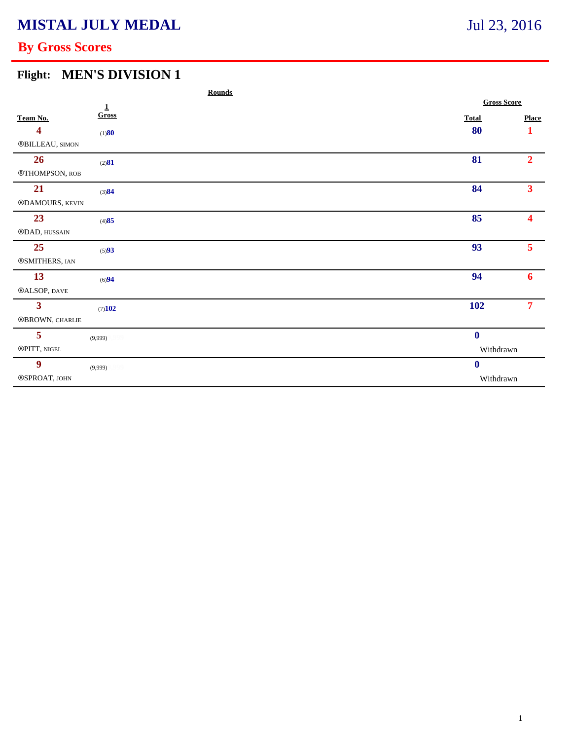# **By Gross Scores**

### **Flight: MEN'S DIVISION 1**

|                           |           | <b>Rounds</b> |  |                    |                         |  |
|---------------------------|-----------|---------------|--|--------------------|-------------------------|--|
| $\pmb{\underline{1}}$     |           |               |  | <b>Gross Score</b> |                         |  |
| Team No.                  | Gross     |               |  | <b>Total</b>       | <b>Place</b>            |  |
| 4                         | (1)80     |               |  | 80                 | $\mathbf{1}$            |  |
| ®BILLEAU, SIMON           |           |               |  |                    |                         |  |
| 26                        | (2)81     |               |  | 81                 | $\overline{2}$          |  |
| ®THOMPSON, ROB            |           |               |  |                    |                         |  |
| 21                        | (3)84     |               |  | 84                 | 3 <sup>1</sup>          |  |
| ®DAMOURS, KEVIN           |           |               |  |                    |                         |  |
| 23                        | (4)85     |               |  | 85                 | $\overline{\mathbf{4}}$ |  |
| $@{\rm DAD},$ HUSSAIN     |           |               |  |                    |                         |  |
| 25                        | (5)93     |               |  | 93                 | 5 <sup>7</sup>          |  |
| ®SMITHERS, IAN            |           |               |  |                    |                         |  |
| 13                        | (6)94     |               |  | 94                 | 6                       |  |
| $@{\mathbf{ALSOP}},$ DAVE |           |               |  |                    |                         |  |
| $\overline{\mathbf{3}}$   | (7)102    |               |  | 102                | 7 <sup>7</sup>          |  |
| ®BROWN, CHARLIE           |           |               |  |                    |                         |  |
| 5                         | (9,999)   |               |  | $\boldsymbol{0}$   |                         |  |
| ®PITT, NIGEL              |           |               |  |                    | Withdrawn               |  |
| $\boldsymbol{9}$          | (9,999)   |               |  | $\boldsymbol{0}$   |                         |  |
| $\circledR$ SPROAT, JOHN  | Withdrawn |               |  |                    |                         |  |
|                           |           |               |  |                    |                         |  |

## Jul 23, 2016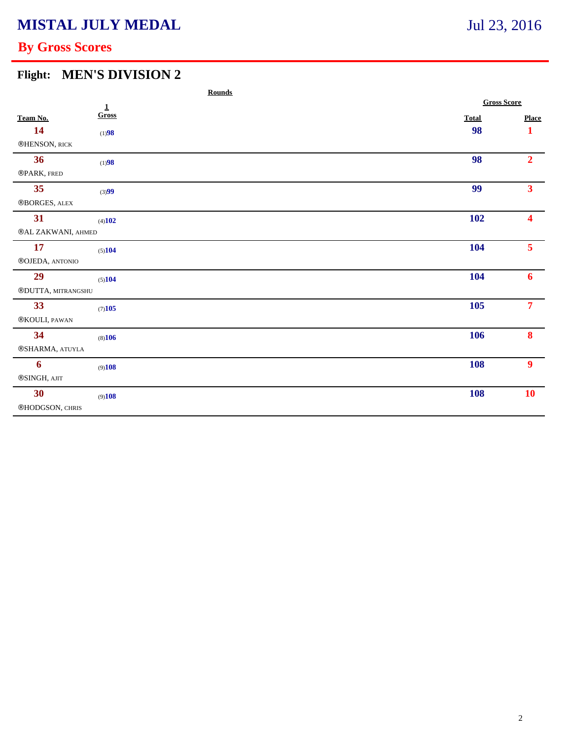## **By Gross Scores**

### **Flight: MEN'S DIVISION 2**

|                          |              | <b>Rounds</b> |                    |                         |  |
|--------------------------|--------------|---------------|--------------------|-------------------------|--|
|                          | $\mathbf{1}$ |               | <b>Gross Score</b> |                         |  |
| Team No.                 | Gross        |               | <b>Total</b>       | <b>Place</b>            |  |
| 14                       | (1)98        |               | 98                 | $\mathbf 1$             |  |
| ®HENSON, RICK            |              |               |                    |                         |  |
| 36                       | (1)98        |               | 98                 | 2 <sup>1</sup>          |  |
| ®PARK, FRED              |              |               |                    |                         |  |
| 35                       | (3)99        |               | 99                 | 3 <sup>1</sup>          |  |
| $\circledR$ BORGES, ALEX |              |               |                    |                         |  |
| 31                       | (4)102       |               | 102                | $\overline{\mathbf{4}}$ |  |
| ®AL ZAKWANI, AHMED       |              |               |                    |                         |  |
| 17                       | (5)104       |               | 104                | 5 <sup>7</sup>          |  |
| ®OJEDA, ANTONIO          |              |               |                    |                         |  |
| 29                       | (5)104       |               | <b>104</b>         | 6                       |  |
| ®DUTTA, MITRANGSHU       |              |               |                    |                         |  |
| 33                       | (7)105       |               | 105                | 7 <sup>7</sup>          |  |
| $\circledR$ KOULI, PAWAN |              |               |                    |                         |  |
| 34                       | (8)106       |               | 106                | 8                       |  |
| ®SHARMA, ATUYLA          |              |               |                    |                         |  |
| $\boldsymbol{6}$         | (9)108       |               | <b>108</b>         | $\boldsymbol{9}$        |  |
| ®SINGH, AJIT             |              |               |                    |                         |  |
| 30 <sup>°</sup>          | (9)108       |               | <b>108</b>         | 10                      |  |
| ®HODGSON, CHRIS          |              |               |                    |                         |  |